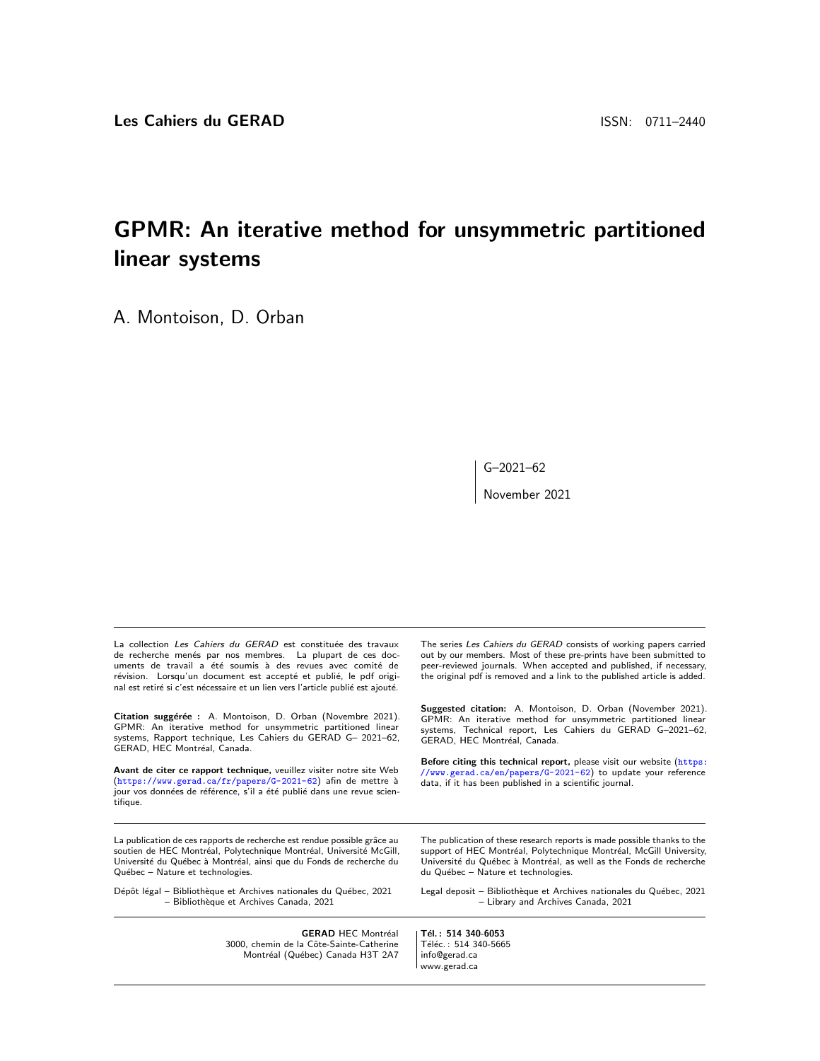# GPMR: An iterative method for unsymmetric partitioned linear systems

A. Montoison, D. Orban

G–2021–62

November 2021

La collection Les Cahiers du GERAD est constituée des travaux de recherche menés par nos membres. La plupart de ces documents de travail a été soumis à des revues avec comité de révision. Lorsqu'un document est accepté et publié, le pdf original est retiré si c'est nécessaire et un lien vers l'article publié est ajouté.

Citation suggérée : A. Montoison, D. Orban (Novembre 2021). GPMR: An iterative method for unsymmetric partitioned linear systems, Rapport technique, Les Cahiers du GERAD G– 2021–62, GERAD, HEC Montréal, Canada.

Avant de citer ce rapport technique, veuillez visiter notre site Web (<https://www.gerad.ca/fr/papers/G-2021-62>) afin de mettre à jour vos données de référence, s'il a été publié dans une revue scientifique.

La publication de ces rapports de recherche est rendue possible grâce au soutien de HEC Montréal, Polytechnique Montréal, Université McGill, Université du Québec à Montréal, ainsi que du Fonds de recherche du Québec – Nature et technologies.

Dépôt légal – Bibliothèque et Archives nationales du Québec, 2021 – Biblioth`eque et Archives Canada, 2021

> **GERAD HEC Montréal** 3000, chemin de la Côte-Sainte-Catherine Montréal (Québec) Canada H3T 2A7

The series Les Cahiers du GERAD consists of working papers carried out by our members. Most of these pre-prints have been submitted to peer-reviewed journals. When accepted and published, if necessary, the original pdf is removed and a link to the published article is added.

Suggested citation: A. Montoison, D. Orban (November 2021). GPMR: An iterative method for unsymmetric partitioned linear systems, Technical report, Les Cahiers du GERAD G–2021–62, Systems, Termines.<br>GERAD, HEC Montréal, Canada.

Before citing this technical report, please visit our website ([https:](https://www.gerad.ca/en/papers/G-2021-62) [//www.gerad.ca/en/papers/G-2021-62](https://www.gerad.ca/en/papers/G-2021-62)) to update your reference data, if it has been published in a scientific journal.

The publication of these research reports is made possible thanks to the support of HEC Montréal, Polytechnique Montréal, McGill University, Université du Québec à Montréal, as well as the Fonds de recherche du Québec - Nature et technologies.

Legal deposit - Bibliothèque et Archives nationales du Québec, 2021 – Library and Archives Canada, 2021

Tél.: 514 340-6053 Téléc.: 514 340-5665 info@gerad.ca www.gerad.ca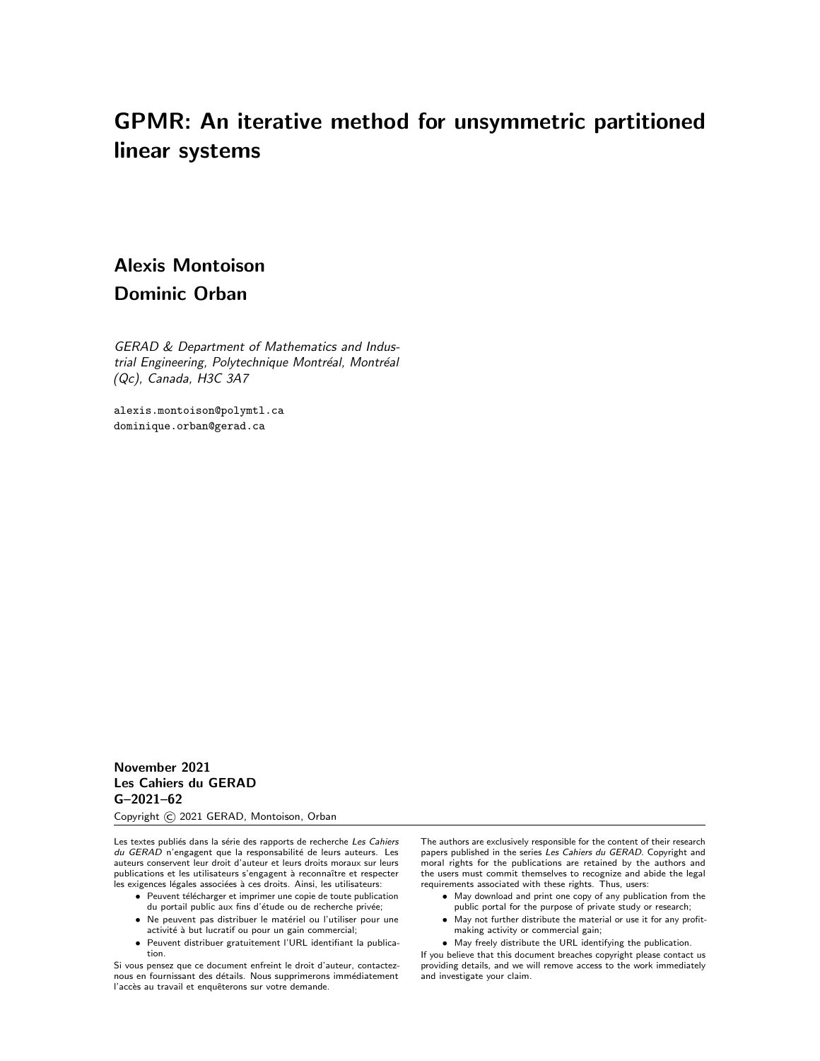# GPMR: An iterative method for unsymmetric partitioned linear systems

# Alexis Montoison Dominic Orban

GERAD & Department of Mathematics and Industrial Engineering, Polytechnique Montréal, Montréal (Qc), Canada, H3C 3A7

alexis.montoison@polymtl.ca dominique.orban@gerad.ca

November 2021 Les Cahiers du GERAD G–2021–62

Copyright © 2021 GERAD, Montoison, Orban

Les textes publiés dans la série des rapports de recherche Les Cahiers du GERAD n'engagent que la responsabilité de leurs auteurs. Les auteurs conservent leur droit d'auteur et leurs droits moraux sur leurs publications et les utilisateurs s'engagent à reconnaître et respecter les exigences légales associées à ces droits. Ainsi, les utilisateurs:

- Peuvent télécharger et imprimer une copie de toute publication
- du portail public aux fins d'étude ou de recherche privée; • Ne peuvent pas distribuer le matériel ou l'utiliser pour une activité à but lucratif ou pour un gain commercial;
- Peuvent distribuer gratuitement l'URL identifiant la publication.

Si vous pensez que ce document enfreint le droit d'auteur, contacteznous en fournissant des détails. Nous supprimerons immédiatement l'accès au travail et enquêterons sur votre demande.

The authors are exclusively responsible for the content of their research papers published in the series Les Cahiers du GERAD. Copyright and moral rights for the publications are retained by the authors and the users must commit themselves to recognize and abide the legal requirements associated with these rights. Thus, users:

- May download and print one copy of any publication from the
- public portal for the purpose of private study or research; • May not further distribute the material or use it for any profitmaking activity or commercial gain;
- May freely distribute the URL identifying the publication.

If you believe that this document breaches copyright please contact us providing details, and we will remove access to the work immediately and investigate your claim.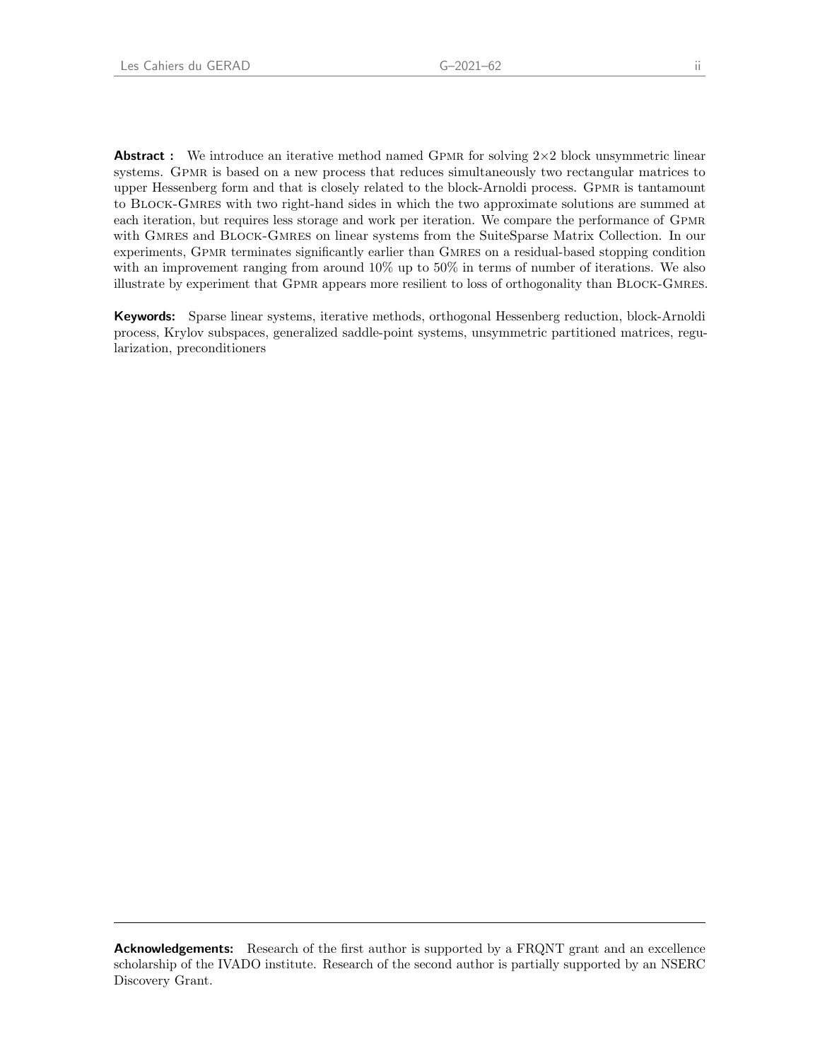**Abstract** : We introduce an iterative method named GPMR for solving  $2\times 2$  block unsymmetric linear systems. GPMR is based on a new process that reduces simultaneously two rectangular matrices to upper Hessenberg form and that is closely related to the block-Arnoldi process. Gpmr is tantamount to Block-Gmres with two right-hand sides in which the two approximate solutions are summed at each iteration, but requires less storage and work per iteration. We compare the performance of Gpmr with GMRES and BLOCK-GMRES on linear systems from the SuiteSparse Matrix Collection. In our experiments, GPMR terminates significantly earlier than GMRES on a residual-based stopping condition with an improvement ranging from around 10% up to 50% in terms of number of iterations. We also illustrate by experiment that Gpmr appears more resilient to loss of orthogonality than Block-Gmres.

Keywords: Sparse linear systems, iterative methods, orthogonal Hessenberg reduction, block-Arnoldi process, Krylov subspaces, generalized saddle-point systems, unsymmetric partitioned matrices, regularization, preconditioners

Acknowledgements: Research of the first author is supported by a FRQNT grant and an excellence scholarship of the IVADO institute. Research of the second author is partially supported by an NSERC Discovery Grant.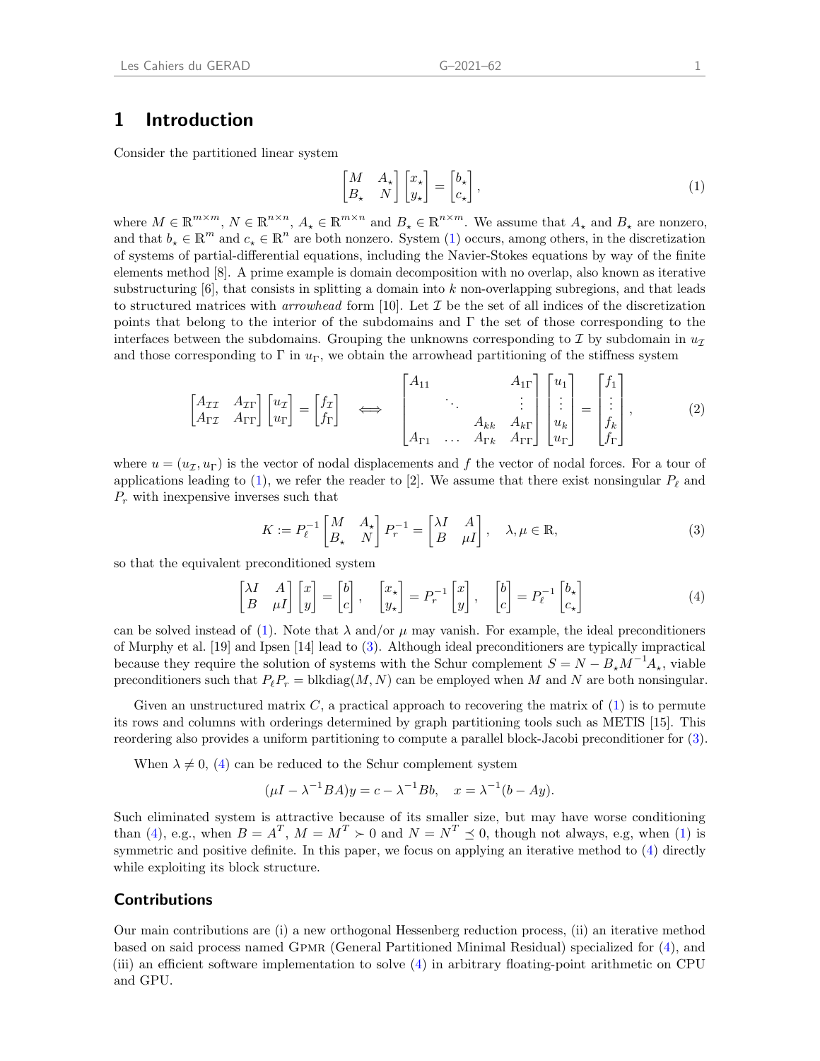### 1 Introduction

Consider the partitioned linear system

<span id="page-3-0"></span>
$$
\begin{bmatrix} M & A_{\star} \\ B_{\star} & N \end{bmatrix} \begin{bmatrix} x_{\star} \\ y_{\star} \end{bmatrix} = \begin{bmatrix} b_{\star} \\ c_{\star} \end{bmatrix},
$$
\n(1)

where  $M \in \mathbb{R}^{m \times m}$ ,  $N \in \mathbb{R}^{n \times n}$ ,  $A_{\star} \in \mathbb{R}^{m \times n}$  and  $B_{\star} \in \mathbb{R}^{n \times m}$ . We assume that  $A_{\star}$  and  $B_{\star}$  are nonzero, and that  $b_* \in \mathbb{R}^m$  and  $c_* \in \mathbb{R}^n$  are both nonzero. System [\(1\)](#page-3-0) occurs, among others, in the discretization of systems of partial-differential equations, including the Navier-Stokes equations by way of the finite elements method [\[8\]](#page-15-0). A prime example is domain decomposition with no overlap, also known as iterative substructuring  $[6]$ , that consists in splitting a domain into k non-overlapping subregions, and that leads to structured matrices with *arrowhead* form [\[10\]](#page-15-2). Let  $\mathcal I$  be the set of all indices of the discretization points that belong to the interior of the subdomains and Γ the set of those corresponding to the interfaces between the subdomains. Grouping the unknowns corresponding to  $\mathcal I$  by subdomain in  $u_{\mathcal I}$ and those corresponding to Γ in  $u_{\Gamma}$ , we obtain the arrowhead partitioning of the stiffness system

<span id="page-3-3"></span>
$$
\begin{bmatrix} A_{\mathcal{I}\mathcal{I}} & A_{\mathcal{I}\Gamma} \\ A_{\mathcal{I}\mathcal{I}} & A_{\mathcal{I}\Gamma} \end{bmatrix} \begin{bmatrix} u_{\mathcal{I}} \\ u_{\Gamma} \end{bmatrix} = \begin{bmatrix} f_{\mathcal{I}} \\ f_{\Gamma} \end{bmatrix} \iff \begin{bmatrix} A_{11} & & A_{1\Gamma} \\ & \ddots & & \vdots \\ & A_{kk} & A_{k\Gamma} \\ A_{\Gamma 1} & \dots & A_{\Gamma k} & A_{\Gamma \Gamma} \end{bmatrix} \begin{bmatrix} u_{1} \\ \vdots \\ u_{k} \\ u_{\Gamma} \end{bmatrix} = \begin{bmatrix} f_{1} \\ \vdots \\ f_{k} \\ f_{\Gamma} \end{bmatrix},\tag{2}
$$

where  $u = (u_{\mathcal{I}}, u_{\Gamma})$  is the vector of nodal displacements and f the vector of nodal forces. For a tour of applications leading to [\(1\)](#page-3-0), we refer the reader to [\[2\]](#page-14-0). We assume that there exist nonsingular  $P_\ell$  and  $P_r$  with inexpensive inverses such that

<span id="page-3-1"></span>
$$
K := P_{\ell}^{-1} \begin{bmatrix} M & A_{\star} \\ B_{\star} & N \end{bmatrix} P_{r}^{-1} = \begin{bmatrix} \lambda I & A \\ B & \mu I \end{bmatrix}, \quad \lambda, \mu \in \mathbb{R}, \tag{3}
$$

so that the equivalent preconditioned system

<span id="page-3-2"></span>
$$
\begin{bmatrix} \lambda I & A \\ B & \mu I \end{bmatrix} \begin{bmatrix} x \\ y \end{bmatrix} = \begin{bmatrix} b \\ c \end{bmatrix}, \quad \begin{bmatrix} x_{\star} \\ y_{\star} \end{bmatrix} = P_{r}^{-1} \begin{bmatrix} x \\ y \end{bmatrix}, \quad \begin{bmatrix} b \\ c \end{bmatrix} = P_{\ell}^{-1} \begin{bmatrix} b_{\star} \\ c_{\star} \end{bmatrix}
$$
 (4)

can be solved instead of [\(1\)](#page-3-0). Note that  $\lambda$  and/or  $\mu$  may vanish. For example, the ideal preconditioners of [Murphy et al.](#page-15-3) [\[19\]](#page-15-3) and [Ipsen](#page-15-4) [\[14\]](#page-15-4) lead to [\(3\)](#page-3-1). Although ideal preconditioners are typically impractical because they require the solution of systems with the Schur complement  $S = N - B_{\star} M^{-1} A_{\star}$ , viable preconditioners such that  $P_\ell P_r = \text{blkdiag}(M, N)$  can be employed when M and N are both nonsingular.

Given an unstructured matrix  $C$ , a practical approach to recovering the matrix of  $(1)$  is to permute its rows and columns with orderings determined by graph partitioning tools such as METIS [\[15\]](#page-15-5). This reordering also provides a uniform partitioning to compute a parallel block-Jacobi preconditioner for [\(3\)](#page-3-1).

When  $\lambda \neq 0$ , [\(4\)](#page-3-2) can be reduced to the Schur complement system

$$
(\mu I - \lambda^{-1} B A) y = c - \lambda^{-1} B b, \quad x = \lambda^{-1} (b - Ay).
$$

Such eliminated system is attractive because of its smaller size, but may have worse conditioning than [\(4\)](#page-3-2), e.g., when  $B = A^T$ ,  $M = M^T \succ 0$  and  $N = N^T \preceq 0$ , though not always, e.g, when [\(1\)](#page-3-0) is symmetric and positive definite. In this paper, we focus on applying an iterative method to [\(4\)](#page-3-2) directly while exploiting its block structure.

### Contributions

Our main contributions are (i) a new orthogonal Hessenberg reduction process, (ii) an iterative method based on said process named Gpmr (General Partitioned Minimal Residual) specialized for [\(4\)](#page-3-2), and (iii) an efficient software implementation to solve [\(4\)](#page-3-2) in arbitrary floating-point arithmetic on CPU and GPU.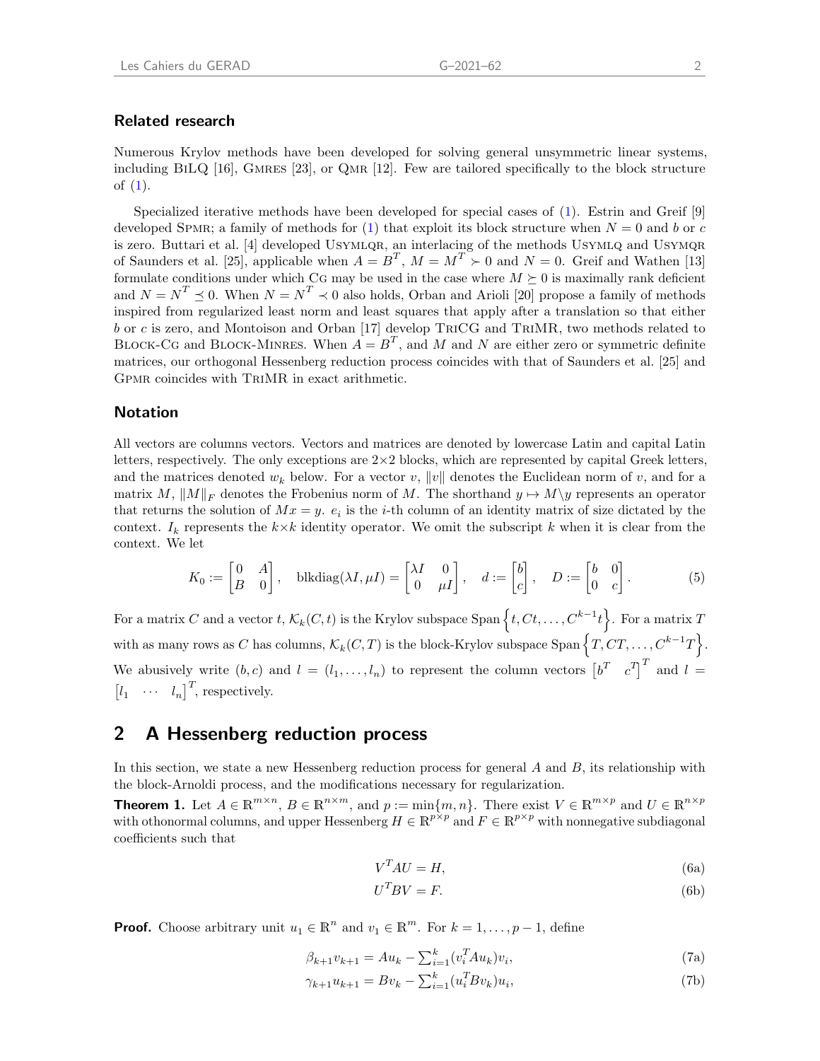### Related research

Numerous Krylov methods have been developed for solving general unsymmetric linear systems, including BILQ  $[16]$ , GMRES  $[23]$ , or QMR  $[12]$ . Few are tailored specifically to the block structure of [\(1\)](#page-3-0).

Specialized iterative methods have been developed for special cases of [\(1\)](#page-3-0). [Estrin and Greif](#page-15-9) [\[9\]](#page-15-9) developed SPMR; a family of methods for [\(1\)](#page-3-0) that exploit its block structure when  $N = 0$  and b or c is zero. [Buttari et al.](#page-14-1) [\[4\]](#page-14-1) developed USYMLQR, an interlacing of the methods USYMLQ and USYMQR of [Saunders et al.](#page-15-10) [\[25\]](#page-15-10), applicable when  $A = B^T$ ,  $M = M^T > 0$  and  $N = 0$ . [Greif and Wathen](#page-15-11) [\[13\]](#page-15-11) formulate conditions under which CG may be used in the case where  $M \succeq 0$  is maximally rank deficient and  $N = N^T \preceq 0$ . When  $N = N^T \preceq 0$  also holds, [Orban and Arioli](#page-15-12) [\[20\]](#page-15-12) propose a family of methods inspired from regularized least norm and least squares that apply after a translation so that either b or c is zero, and [Montoison and Orban](#page-15-13) [\[17\]](#page-15-13) develop TriCG and TriMR, two methods related to BLOCK-CG and BLOCK-MINRES. When  $A = B<sup>T</sup>$ , and M and N are either zero or symmetric definite matrices, our orthogonal Hessenberg reduction process coincides with that of [Saunders et al.](#page-15-10) [\[25\]](#page-15-10) and Gpmr coincides with TriMR in exact arithmetic.

### Notation

All vectors are columns vectors. Vectors and matrices are denoted by lowercase Latin and capital Latin letters, respectively. The only exceptions are  $2\times 2$  blocks, which are represented by capital Greek letters, and the matrices denoted  $w_k$  below. For a vector  $v, ||v||$  denotes the Euclidean norm of v, and for a matrix M,  $||M||_F$  denotes the Frobenius norm of M. The shorthand  $y \mapsto M\y$  represents an operator that returns the solution of  $Mx = y$ .  $e_i$  is the *i*-th column of an identity matrix of size dictated by the context.  $I_k$  represents the  $k \times k$  identity operator. We omit the subscript k when it is clear from the context. We let

<span id="page-4-4"></span>
$$
K_0 := \begin{bmatrix} 0 & A \\ B & 0 \end{bmatrix}, \quad \text{blkdiag}(\lambda I, \mu I) = \begin{bmatrix} \lambda I & 0 \\ 0 & \mu I \end{bmatrix}, \quad d := \begin{bmatrix} b \\ c \end{bmatrix}, \quad D := \begin{bmatrix} b & 0 \\ 0 & c \end{bmatrix}.
$$
 (5)

For a matrix C and a vector  $t, \mathcal{K}_k(C, t)$  is the Krylov subspace Span  $\left\{t, Ct, \ldots, C^{k-1}t\right\}$ . For a matrix T with as many rows as C has columns,  $\mathcal{K}_k(C,T)$  is the block-Krylov subspace Span  $\left\{T,CT,\ldots,C^{k-1}T\right\}$ . We abusively write  $(b, c)$  and  $l = (l_1, \ldots, l_n)$  to represent the column vectors  $\begin{bmatrix} b^T & c^T \end{bmatrix}^T$  and  $l =$  $\begin{bmatrix} l_1 & \cdots & l_n \end{bmatrix}^T$ , respectively.

## 2 A Hessenberg reduction process

In this section, we state a new Hessenberg reduction process for general  $A$  and  $B$ , its relationship with the block-Arnoldi process, and the modifications necessary for regularization.

<span id="page-4-3"></span>**Theorem 1.** Let  $A \in \mathbb{R}^{m \times n}$ ,  $B \in \mathbb{R}^{n \times m}$ , and  $p := \min\{m, n\}$ . There exist  $V \in \mathbb{R}^{m \times p}$  and  $U \in \mathbb{R}^{n \times p}$ with othonormal columns, and upper Hessenberg  $H \in \mathbb{R}^{p \times p}$  and  $F \in \mathbb{R}^{p \times p}$  with nonnegative subdiagonal coefficients such that

<span id="page-4-1"></span>
$$
V^T A U = H,\t(6a)
$$

<span id="page-4-2"></span><span id="page-4-0"></span>
$$
U^T B V = F.
$$
 (6b)

**Proof.** Choose arbitrary unit  $u_1 \in \mathbb{R}^n$  and  $v_1 \in \mathbb{R}^m$ . For  $k = 1, ..., p - 1$ , define

$$
\beta_{k+1} v_{k+1} = A u_k - \sum_{i=1}^{k} (v_i^T A u_k) v_i,
$$
\n(7a)

$$
\gamma_{k+1} u_{k+1} = B v_k - \sum_{i=1}^k (u_i^T B v_k) u_i,
$$
\n(7b)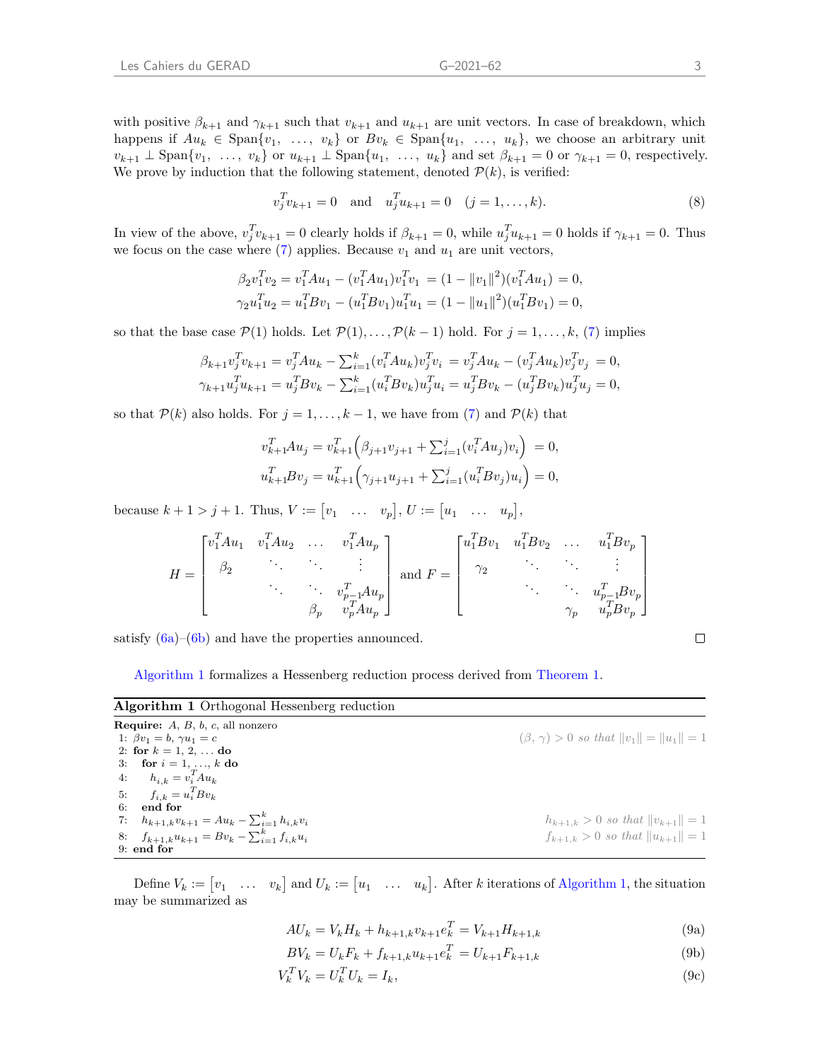with positive  $\beta_{k+1}$  and  $\gamma_{k+1}$  such that  $v_{k+1}$  and  $u_{k+1}$  are unit vectors. In case of breakdown, which happens if  $Au_k \in \text{Span}\{v_1, \ldots, v_k\}$  or  $Bv_k \in \text{Span}\{u_1, \ldots, u_k\}$ , we choose an arbitrary unit  $v_{k+1} \perp \text{Span}\{v_1, \ldots, v_k\}$  or  $u_{k+1} \perp \text{Span}\{u_1, \ldots, u_k\}$  and set  $\beta_{k+1} = 0$  or  $\gamma_{k+1} = 0$ , respectively. We prove by induction that the following statement, denoted  $P(k)$ , is verified:

$$
v_j^T v_{k+1} = 0
$$
 and  $u_j^T u_{k+1} = 0$   $(j = 1, ..., k).$  (8)

In view of the above,  $v_j^T v_{k+1} = 0$  clearly holds if  $\beta_{k+1} = 0$ , while  $u_j^T u_{k+1} = 0$  holds if  $\gamma_{k+1} = 0$ . Thus we focus on the case where  $(7)$  applies. Because  $v_1$  and  $u_1$  are unit vectors,

$$
\beta_2 v_1^T v_2 = v_1^T A u_1 - (v_1^T A u_1) v_1^T v_1 = (1 - ||v_1||^2)(v_1^T A u_1) = 0,
$$
  
\n
$$
\gamma_2 u_1^T u_2 = u_1^T B v_1 - (u_1^T B v_1) u_1^T u_1 = (1 - ||u_1||^2)(u_1^T B v_1) = 0,
$$

so that the base case  $\mathcal{P}(1)$  holds. Let  $\mathcal{P}(1), \ldots, \mathcal{P}(k-1)$  hold. For  $j = 1, \ldots, k$ , [\(7\)](#page-4-0) implies

$$
\beta_{k+1}v_j^Tv_{k+1} = v_j^T A u_k - \sum_{i=1}^k (v_i^T A u_k)v_j^Tv_i = v_j^T A u_k - (v_j^T A u_k)v_j^Tv_j = 0,
$$
  

$$
\gamma_{k+1}u_j^Tu_{k+1} = u_j^T B v_k - \sum_{i=1}^k (u_i^T B v_k)u_j^Tu_i = u_j^T B v_k - (u_j^T B v_k)u_j^Tu_j = 0,
$$

so that  $P(k)$  also holds. For  $j = 1, ..., k - 1$ , we have from [\(7\)](#page-4-0) and  $P(k)$  that

$$
v_{k+1}^T A u_j = v_{k+1}^T \Big( \beta_{j+1} v_{j+1} + \sum_{i=1}^j (v_i^T A u_j) v_i \Big) = 0,
$$
  

$$
u_{k+1}^T B v_j = u_{k+1}^T \Big( \gamma_{j+1} u_{j+1} + \sum_{i=1}^j (u_i^T B v_j) u_i \Big) = 0,
$$

because  $k + 1 > j + 1$ . Thus,  $V := [v_1 \dots v_p], U := [u_1 \dots u_p],$ 

$$
H = \begin{bmatrix} v_1^T A u_1 & v_1^T A u_2 & \dots & v_1^T A u_p \\ \beta_2 & \ddots & \ddots & \vdots \\ & \ddots & \ddots & \ddots \\ & & \beta_p & v_p^T A u_p \\ & & & \beta_p & v_p^T A u_p \end{bmatrix} \text{ and } F = \begin{bmatrix} u_1^T B v_1 & u_1^T B v_2 & \dots & u_1^T B v_p \\ \gamma_2 & \ddots & \ddots & \vdots \\ & \ddots & \ddots & \ddots \\ & & & u_p^T B v_p \\ \gamma_p & u_p^T B v_p \end{bmatrix}
$$

satisfy  $(6a)$ – $(6b)$  and have the properties announced.

[Algorithm 1](#page-5-0) formalizes a Hessenberg reduction process derived from [Theorem 1.](#page-4-3)

<span id="page-5-0"></span>

| Algorithm 1 Orthogonal Hessenberg reduction |  |  |  |  |
|---------------------------------------------|--|--|--|--|
|---------------------------------------------|--|--|--|--|

<span id="page-5-6"></span><span id="page-5-5"></span>**Require:**  $A, B, b, c$ , all nonzero 1:  $\beta v_1 = b, \ \gamma u_1 = c$  (β,  $\gamma$ ) > 0 so that  $||v_1|| = ||u_1|| = 1$ 2: for  $k = 1, 2, ...$  do 3: for  $i = 1, ..., k$  do 4:  $h_{i,k} = v_i^T A u_k$ 5:  $f_{i,k} = u_i^T B v_k$ 6: end for 7:  $h_{k+1,k}v_{k+1} = Au_k - \sum_{i=1}^k$  $h_{k+1,k} > 0$  so that  $||v_{k+1}|| = 1$ 8:  $f_{k+1,k}u_{k+1} = Bv_k - \sum_{i=1}^k v_{i}$  $i_{k+1,k} > 0$  so that  $||u_{k+1}|| = 1$ 9: end for

<span id="page-5-7"></span>Define  $V_k := [v_1 \dots v_k]$  and  $U_k := [u_1 \dots u_k]$ . After k iterations of [Algorithm 1,](#page-5-0) the situation may be summarized as

<span id="page-5-4"></span>
$$
AU_k = V_k H_k + h_{k+1,k} v_{k+1} e_k^T = V_{k+1} H_{k+1,k}
$$
\n(9a)

$$
BV_k = U_k F_k + f_{k+1,k} u_{k+1} e_k^t = U_{k+1} F_{k+1,k}
$$
\n(9b)

$$
V_k^T V_k = U_k^T U_k = I_k,\tag{9c}
$$

<span id="page-5-3"></span><span id="page-5-2"></span><span id="page-5-1"></span> $\Box$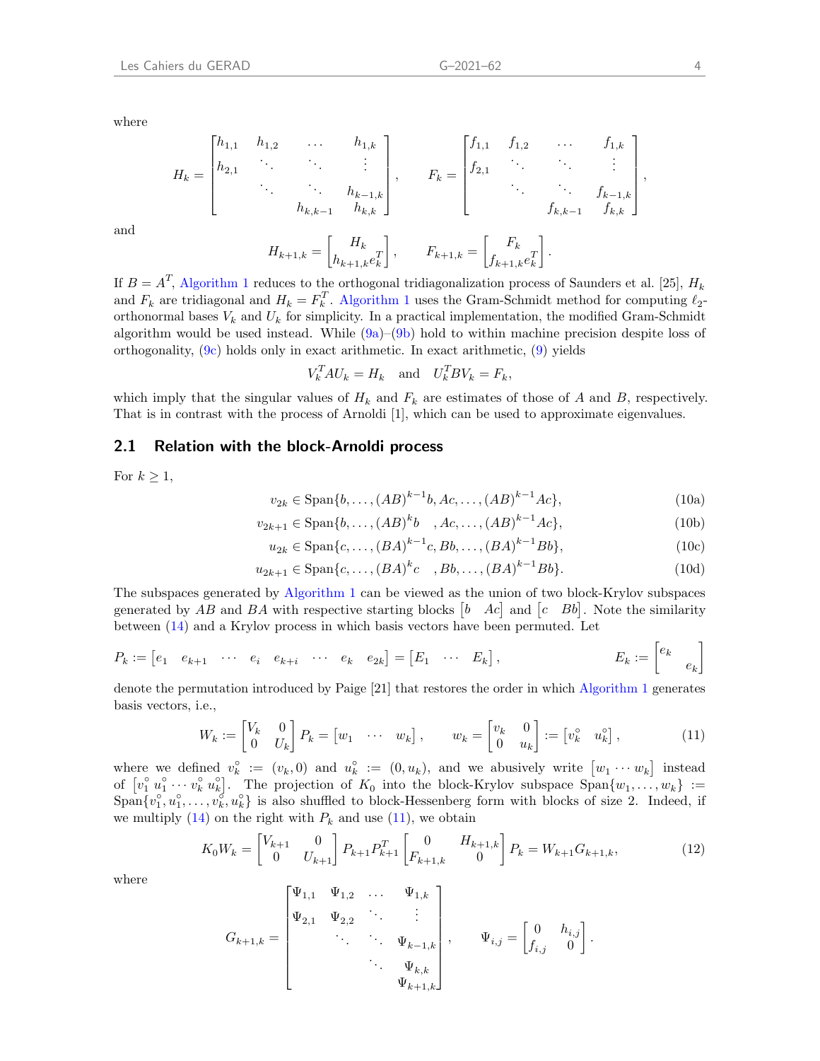where

and

$$
H_{k} = \begin{bmatrix} h_{1,1} & h_{1,2} & \cdots & h_{1,k} \\ h_{2,1} & \ddots & & \vdots \\ & \ddots & & h_{k-1,k} \\ & & h_{k,k-1} & h_{k,k} \end{bmatrix}, \qquad F_{k} = \begin{bmatrix} f_{1,1} & f_{1,2} & \cdots & f_{1,k} \\ f_{2,1} & \ddots & & \vdots \\ & \ddots & & f_{k-1,k} \\ & & f_{k,k-1} & f_{k,k} \end{bmatrix},
$$

$$
H_{k+1,k} = \begin{bmatrix} H_{k} \\ h_{k+1,k}e_{k}^{T} \end{bmatrix}, \qquad F_{k+1,k} = \begin{bmatrix} F_{k} \\ f_{k+1,k}e_{k}^{T} \end{bmatrix}.
$$

If  $B = A<sup>T</sup>$ , [Algorithm 1](#page-5-0) reduces to the orthogonal tridiagonalization process of [Saunders et al.](#page-15-10) [\[25\]](#page-15-10),  $H<sub>k</sub>$ and  $F_k$  are tridiagonal and  $H_k = F_k^T$ . [Algorithm 1](#page-5-0) uses the Gram-Schmidt method for computing  $\ell_2$ orthonormal bases  $V_k$  and  $U_k$  for simplicity. In a practical implementation, the modified Gram-Schmidt algorithm would be used instead. While  $(9a)$ – $(9b)$  hold to within machine precision despite loss of orthogonality,  $(9c)$  holds only in exact arithmetic. In exact arithmetic,  $(9)$  yields

$$
V_k^T A U_k = H_k \quad \text{and} \quad U_k^T B V_k = F_k,
$$

which imply that the singular values of  $H_k$  and  $F_k$  are estimates of those of A and B, respectively. That is in contrast with the process of [Arnoldi](#page-14-2) [\[1\]](#page-14-2), which can be used to approximate eigenvalues.

### 2.1 Relation with the block-Arnoldi process

For  $k \geq 1$ ,

$$
v_{2k} \in \text{Span}\{b, \dots, (AB)^{k-1}b, Ac, \dots, (AB)^{k-1}Ac\},\tag{10a}
$$

$$
v_{2k+1} \in \text{Span}\{b, \dots, (AB)^k b \quad , Ac, \dots, (AB)^{k-1} Ac\},\tag{10b}
$$

$$
u_{2k} \in \text{Span}\{c, \dots, (BA)^{k-1}c, Bb, \dots, (BA)^{k-1}Bb\},\tag{10c}
$$

$$
u_{2k+1} \in \text{Span}\{c, \dots, (BA)^k c \quad , Bb, \dots, (BA)^{k-1} Bb\}.
$$
 (10d)

The subspaces generated by [Algorithm 1](#page-5-0) can be viewed as the union of two block-Krylov subspaces generated by AB and BA with respective starting blocks  $[b \quad Ac]$  and  $[c \quad Bb]$ . Note the similarity between [\(14\)](#page-7-0) and a Krylov process in which basis vectors have been permuted. Let

$$
P_k := \begin{bmatrix} e_1 & e_{k+1} & \cdots & e_i & e_{k+i} & \cdots & e_k & e_{2k} \end{bmatrix} = \begin{bmatrix} E_1 & \cdots & E_k \end{bmatrix}, \qquad E_k := \begin{bmatrix} e_k & e_k \end{bmatrix}
$$

denote the permutation introduced by [Paige](#page-15-14) [\[21\]](#page-15-14) that restores the order in which [Algorithm 1](#page-5-0) generates basis vectors, i.e.,

<span id="page-6-0"></span>
$$
W_k := \begin{bmatrix} V_k & 0 \\ 0 & U_k \end{bmatrix} P_k = \begin{bmatrix} w_1 & \cdots & w_k \end{bmatrix}, \qquad w_k = \begin{bmatrix} v_k & 0 \\ 0 & u_k \end{bmatrix} := \begin{bmatrix} v_k^{\circ} & u_k^{\circ} \end{bmatrix}, \tag{11}
$$

where we defined  $v_k^{\circ} := (v_k, 0)$  and  $u_k^{\circ} := (0, u_k)$ , and we abusively write  $[u_1 \cdots u_k]$  instead of  $[v_1^{\circ}, u_1^{\circ} \cdots v_k^{\circ}, u_k^{\circ}]$ . The projection of  $K_0$  into the block-Krylov subspace  $\text{Span}\{w_1, \ldots, w_k\}$  :=  $\text{Span}\{v_1^{\circ}, u_1^{\circ}, \ldots, v_k^{\circ}, u_k^{\circ}\}\$ is also shuffled to block-Hessenberg form with blocks of size 2. Indeed, if we multiply  $(14)$  on the right with  $P_k$  and use  $(11)$ , we obtain

<span id="page-6-1"></span>
$$
K_0 W_k = \begin{bmatrix} V_{k+1} & 0 \\ 0 & U_{k+1} \end{bmatrix} P_{k+1} P_{k+1}^T \begin{bmatrix} 0 & H_{k+1,k} \\ F_{k+1,k} & 0 \end{bmatrix} P_k = W_{k+1} G_{k+1,k},
$$
(12)

where

$$
G_{k+1,k} = \begin{bmatrix} \Psi_{1,1} & \Psi_{1,2} & \dots & \Psi_{1,k} \\ \Psi_{2,1} & \Psi_{2,2} & \ddots & \vdots \\ & \ddots & \ddots & \Psi_{k-1,k} \\ & & \ddots & \Psi_{k,k} \\ & & & \Psi_{k+1,k} \end{bmatrix}, \qquad \Psi_{i,j} = \begin{bmatrix} 0 & h_{i,j} \\ f_{i,j} & 0 \end{bmatrix}.
$$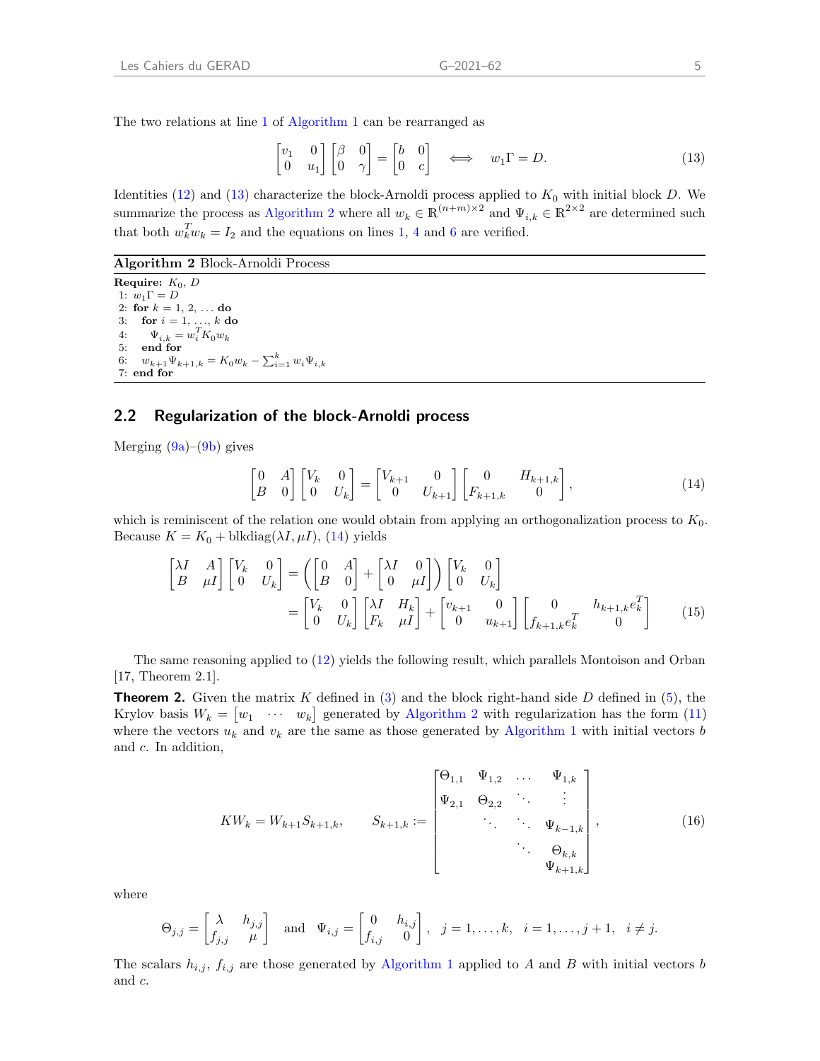The two relations at line [1](#page-5-5) of [Algorithm 1](#page-5-0) can be rearranged as

<span id="page-7-1"></span>
$$
\begin{bmatrix} v_1 & 0 \\ 0 & u_1 \end{bmatrix} \begin{bmatrix} \beta & 0 \\ 0 & \gamma \end{bmatrix} = \begin{bmatrix} b & 0 \\ 0 & c \end{bmatrix} \iff w_1 \Gamma = D. \tag{13}
$$

Identities [\(12\)](#page-6-1) and [\(13\)](#page-7-1) characterize the block-Arnoldi process applied to  $K_0$  with initial block D. We summarize the process as [Algorithm 2](#page-7-2) where all  $w_k \in \mathbb{R}^{(n+m)\times 2}$  and  $\Psi_{i,k} \in \mathbb{R}^{2\times 2}$  are determined such that both  $w_k^T w_k = I_2$  and the equations on lines [1,](#page-5-5) [4](#page-5-6) and [6](#page-5-7) are verified.

<span id="page-7-2"></span>Algorithm 2 Block-Arnoldi Process

Require:  $K_0$ , D 1:  $w_1\Gamma = D$ 2: for  $k = 1, 2, ...$  do 3: for  $i = 1, ..., k$  do 4:  $\Psi_{i,k} = w_i^T K_0 w_k$ 5: end for 6:  $w_{k+1}\Psi_{k+1,k} = K_0 w_k - \sum_{i=1}^k w_i \Psi_{i,k}$ 7: end for

### 2.2 Regularization of the block-Arnoldi process

Merging  $(9a)$ – $(9b)$  gives

<span id="page-7-4"></span><span id="page-7-0"></span>
$$
\begin{bmatrix} 0 & A \\ B & 0 \end{bmatrix} \begin{bmatrix} V_k & 0 \\ 0 & U_k \end{bmatrix} = \begin{bmatrix} V_{k+1} & 0 \\ 0 & U_{k+1} \end{bmatrix} \begin{bmatrix} 0 & H_{k+1,k} \\ F_{k+1,k} & 0 \end{bmatrix},
$$
(14)

which is reminiscent of the relation one would obtain from applying an orthogonalization process to  $K_0$ . Because  $K = K_0 + \text{blkdiag}(\lambda I, \mu I), (14)$  $K = K_0 + \text{blkdiag}(\lambda I, \mu I), (14)$  yields

$$
\begin{bmatrix} \lambda I & A \\ B & \mu I \end{bmatrix} \begin{bmatrix} V_k & 0 \\ 0 & U_k \end{bmatrix} = \left( \begin{bmatrix} 0 & A \\ B & 0 \end{bmatrix} + \begin{bmatrix} \lambda I & 0 \\ 0 & \mu I \end{bmatrix} \right) \begin{bmatrix} V_k & 0 \\ 0 & U_k \end{bmatrix}
$$

$$
= \begin{bmatrix} V_k & 0 \\ 0 & U_k \end{bmatrix} \begin{bmatrix} \lambda I & H_k \\ F_k & \mu I \end{bmatrix} + \begin{bmatrix} v_{k+1} & 0 \\ 0 & u_{k+1} \end{bmatrix} \begin{bmatrix} 0 & h_{k+1,k} e_k^T \\ f_{k+1,k} e_k^T & 0 \end{bmatrix}
$$
(15)

The same reasoning applied to [\(12\)](#page-6-1) yields the following result, which parallels [Montoison and Orban](#page-15-13) [\[17,](#page-15-13) Theorem 2.1].

<span id="page-7-5"></span>**Theorem 2.** Given the matrix K defined in [\(3\)](#page-3-1) and the block right-hand side D defined in [\(5\)](#page-4-4), the Krylov basis  $W_k = \begin{bmatrix} w_1 & \cdots & w_k \end{bmatrix}$  generated by [Algorithm 2](#page-7-2) with regularization has the form [\(11\)](#page-6-0) where the vectors  $u_k$  and  $v_k$  are the same as those generated by [Algorithm 1](#page-5-0) with initial vectors b and c. In addition,

<span id="page-7-3"></span>
$$
KW_k = W_{k+1}S_{k+1,k}, \qquad S_{k+1,k} := \begin{bmatrix} \Theta_{1,1} & \Psi_{1,2} & \dots & \Psi_{1,k} \\ \Psi_{2,1} & \Theta_{2,2} & \ddots & \vdots \\ & \ddots & \ddots & \Psi_{k-1,k} \\ & & \ddots & \Theta_{k,k} \\ & & & \Psi_{k+1,k} \end{bmatrix},
$$
(16)

where

$$
\Theta_{j,j} = \begin{bmatrix} \lambda & h_{j,j} \\ f_{j,j} & \mu \end{bmatrix} \text{ and } \Psi_{i,j} = \begin{bmatrix} 0 & h_{i,j} \\ f_{i,j} & 0 \end{bmatrix}, j = 1,\dots,k, i = 1,\dots,j+1, i \neq j.
$$

The scalars  $h_{i,j}$ ,  $f_{i,j}$  are those generated by [Algorithm 1](#page-5-0) applied to A and B with initial vectors b and c.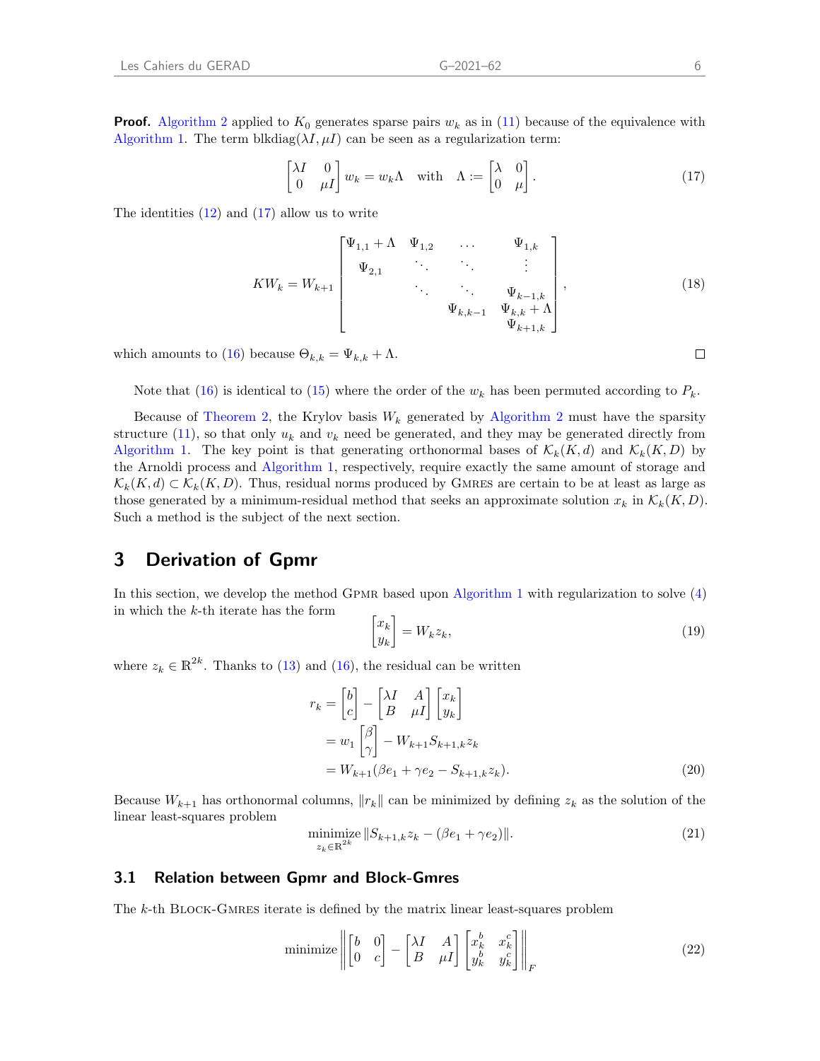**Proof.** [Algorithm 2](#page-7-2) applied to  $K_0$  generates sparse pairs  $w_k$  as in [\(11\)](#page-6-0) because of the equivalence with [Algorithm 1.](#page-5-0) The term blkdiag( $\lambda I, \mu I$ ) can be seen as a regularization term:

<span id="page-8-0"></span>
$$
\begin{bmatrix} \lambda I & 0 \\ 0 & \mu I \end{bmatrix} w_k = w_k \Lambda \quad \text{with} \quad \Lambda := \begin{bmatrix} \lambda & 0 \\ 0 & \mu \end{bmatrix} . \tag{17}
$$

The identities  $(12)$  and  $(17)$  allow us to write

$$
KW_k = W_{k+1} \begin{bmatrix} \Psi_{1,1} + \Lambda & \Psi_{1,2} & \dots & \Psi_{1,k} \\ \Psi_{2,1} & \ddots & \ddots & \vdots \\ & \ddots & \ddots & \Psi_{k-1,k} \\ & & \Psi_{k,k-1} & \Psi_{k,k} + \Lambda \\ & & & \Psi_{k+1,k} \end{bmatrix},
$$
(18)

which amounts to [\(16\)](#page-7-3) because  $\Theta_{k,k} = \Psi_{k,k} + \Lambda$ .

Note that [\(16\)](#page-7-3) is identical to [\(15\)](#page-7-4) where the order of the  $w_k$  has been permuted according to  $P_k$ .

Because of [Theorem 2,](#page-7-5) the Krylov basis  $W_k$  generated by [Algorithm 2](#page-7-2) must have the sparsity structure [\(11\)](#page-6-0), so that only  $u_k$  and  $v_k$  need be generated, and they may be generated directly from [Algorithm 1.](#page-5-0) The key point is that generating orthonormal bases of  $\mathcal{K}_k(K,d)$  and  $\mathcal{K}_k(K, D)$  by the Arnoldi process and [Algorithm 1,](#page-5-0) respectively, require exactly the same amount of storage and  $\mathcal{K}_k(K, d) \subset \mathcal{K}_k(K, D)$ . Thus, residual norms produced by GMRES are certain to be at least as large as those generated by a minimum-residual method that seeks an approximate solution  $x_k$  in  $\mathcal{K}_k(K, D)$ . Such a method is the subject of the next section.

# 3 Derivation of Gpmr

In this section, we develop the method Gpmr based upon [Algorithm 1](#page-5-0) with regularization to solve [\(4\)](#page-3-2) in which the  $k$ -th iterate has the form

<span id="page-8-3"></span><span id="page-8-2"></span>
$$
\begin{bmatrix} x_k \\ y_k \end{bmatrix} = W_k z_k,\tag{19}
$$

where  $z_k \in \mathbb{R}^{2k}$ . Thanks to [\(13\)](#page-7-1) and [\(16\)](#page-7-3), the residual can be written

$$
r_k = \begin{bmatrix} b \\ c \end{bmatrix} - \begin{bmatrix} \lambda I & A \\ B & \mu I \end{bmatrix} \begin{bmatrix} x_k \\ y_k \end{bmatrix}
$$
  
=  $w_1 \begin{bmatrix} \beta \\ \gamma \end{bmatrix} - W_{k+1} S_{k+1,k} z_k$   
=  $W_{k+1} (\beta e_1 + \gamma e_2 - S_{k+1,k} z_k).$  (20)

Because  $W_{k+1}$  has orthonormal columns,  $\|r_k\|$  can be minimized by defining  $z_k$  as the solution of the linear least-squares problem

<span id="page-8-1"></span>
$$
\min_{z_k \in \mathbb{R}^{2k}} \|S_{k+1,k} z_k - (\beta e_1 + \gamma e_2)\|.
$$
\n(21)

#### 3.1 Relation between Gpmr and Block-Gmres

The k-th BLOCK-GMRES iterate is defined by the matrix linear least-squares problem

minimize 
$$
\left\| \begin{bmatrix} b & 0 \\ 0 & c \end{bmatrix} - \begin{bmatrix} \lambda I & A \\ B & \mu I \end{bmatrix} \begin{bmatrix} x_k^b & x_k^c \\ y_k^b & y_k^c \end{bmatrix} \right\|_F
$$
 (22)

 $\Box$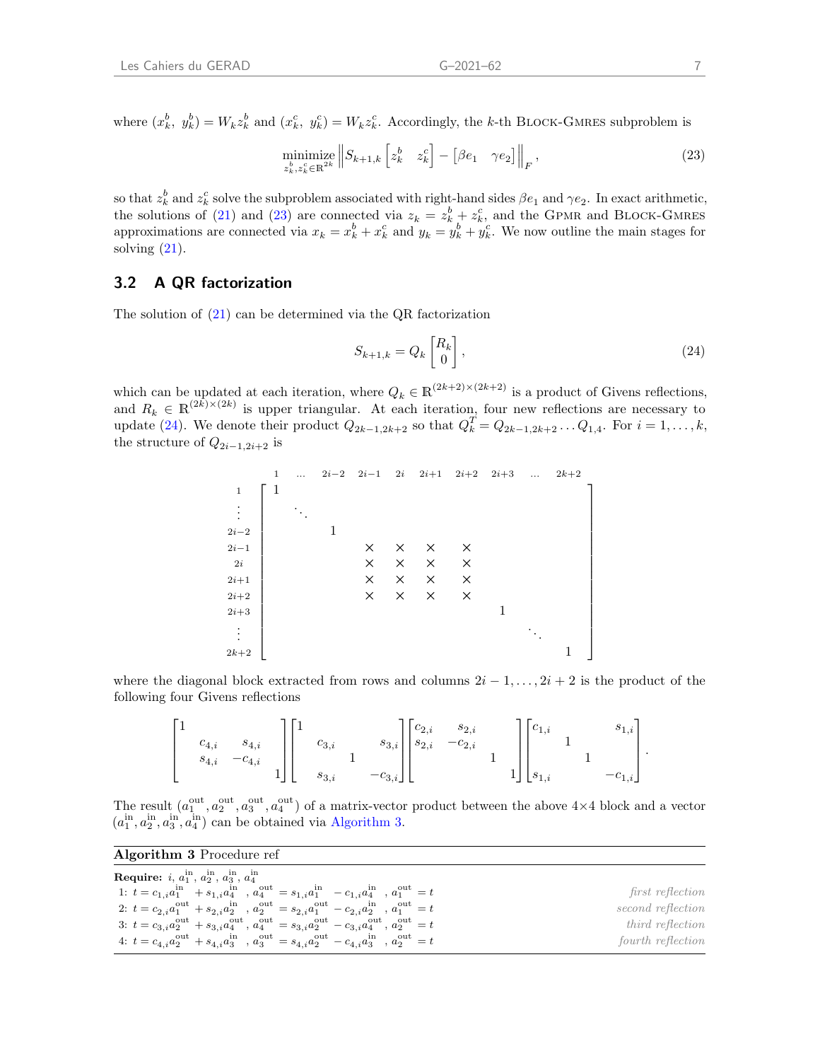where  $(x_k^b, y_k^b) = W_k z_k^b$  and  $(x_k^c, y_k^c) = W_k z_k^c$ . Accordingly, the k-th BLOCK-GMRES subproblem is

<span id="page-9-0"></span>
$$
\underset{z_k^b, z_k^c \in \mathbb{R}^{2k}}{\text{minimize}} \left\| S_{k+1,k} \left[ z_k^b \quad z_k^c \right] - \left[ \beta e_1 \quad \gamma e_2 \right] \right\|_F, \tag{23}
$$

so that  $z_k^b$  and  $z_k^c$  solve the subproblem associated with right-hand sides  $\beta e_1$  and  $\gamma e_2$ . In exact arithmetic, the solutions of [\(21\)](#page-8-1) and [\(23\)](#page-9-0) are connected via  $z_k = z_k^b + z_k^c$ , and the GPMR and BLOCK-GMRES approximations are connected via  $x_k = x_k^b + x_k^c$  and  $y_k = y_k^b + y_k^c$ . We now outline the main stages for solving  $(21)$ .

### 3.2 A QR factorization

The solution of [\(21\)](#page-8-1) can be determined via the QR factorization

<span id="page-9-1"></span>
$$
S_{k+1,k} = Q_k \begin{bmatrix} R_k \\ 0 \end{bmatrix},\tag{24}
$$

which can be updated at each iteration, where  $Q_k \in \mathbb{R}^{(2k+2)\times (2k+2)}$  is a product of Givens reflections, and  $R_k \in \mathbb{R}^{(2k)\times(2k)}$  is upper triangular. At each iteration, four new reflections are necessary to update [\(24\)](#page-9-1). We denote their product  $Q_{2k-1,2k+2}$  so that  $Q_k^T = Q_{2k-1,2k+2} \dots Q_{1,4}$ . For  $i = 1, \dots, k$ , the structure of  $Q_{2i-1,2i+2}$  is

 1 ... 2i−2 2i−1 2i 2i+1 2i+2 2i+3 ... 2k+2 <sup>1</sup> 1 . . . . . . <sup>2</sup>i−<sup>2</sup> 1 2i−1 × × × × 2i × × × × 2i+1 × × × × 2i+2 × × × × <sup>2</sup>i+3 1 . . . . . . <sup>2</sup>k+2 1 

where the diagonal block extracted from rows and columns  $2i-1,\ldots, 2i+2$  is the product of the following four Givens reflections

$$
\begin{bmatrix} 1&&&\\ &c_{4,i}& &s_{4,i} \\ &s_{4,i}& &-c_{4,i} \\ &&&1 \end{bmatrix} \begin{bmatrix} 1&&&\\ &c_{3,i}& &s_{3,i} \\ &&1&&\\ &&&s_{3,i} & &-c_{3,i} \end{bmatrix} \begin{bmatrix} c_{2,i} & s_{2,i} & &\\ s_{2,i} & -c_{2,i} & &\\ &&&1 \\ &&&&&1 \end{bmatrix} \begin{bmatrix} c_{1,i}&&& s_{1,i} \\ &1&&&\\ s_{1,i} &&&-c_{1,i} \end{bmatrix}.
$$

The result  $(a_1^{\text{out}}, a_2^{\text{out}}, a_3^{\text{out}}, a_4^{\text{out}})$  of a matrix-vector product between the above  $4\times 4$  block and a vector  $(a_1^{\text{in}}, a_2^{\text{in}}, a_3^{\text{in}}, a_4^{\text{in}})$  can be obtained via [Algorithm 3.](#page-9-2)

<span id="page-9-2"></span>

| <b>Algorithm 3</b> Procedure ref                                                                                                                           |                   |
|------------------------------------------------------------------------------------------------------------------------------------------------------------|-------------------|
| <b>Require:</b> <i>i</i> , $a_1^{\text{in}}$ , $a_2^{\text{in}}$ , $a_3^{\text{in}}$ , $a_4^{\text{in}}$                                                   |                   |
| 1: $t = c_{1,i}a_1^{\text{in}} + s_{1,i}a_4^{\text{in}}$ , $a_4^{\text{out}} = s_{1,i}a_1^{\text{in}} - c_{1,i}a_4^{\text{in}}$ , $a_1^{\text{out}} = t$   | first reflection  |
| 2: $t = c_{2,i}a_1^{\text{out}} + s_{2,i}a_2^{\text{in}}$ , $a_2^{\text{out}} = s_{2,i}a_1^{\text{out}} - c_{2,i}a_2^{\text{in}}$ , $a_1^{\text{out}} = t$ | second reflection |
| 3: $t = c_{3,i}a_2^{\text{out}} + s_{3,i}a_4^{\text{out}}, a_4^{\text{out}} = s_{3,i}a_2^{\text{out}} - c_{3,i}a_4^{\text{out}}, a_2^{\text{out}} = t$     | third reflection  |
| 4: $t = c_{4,i}a_2^{\text{out}} + s_{4,i}a_3^{\text{in}}$ , $a_3^{\text{out}} = s_{4,i}a_2^{\text{out}} - c_{4,i}a_3^{\text{in}}$ , $a_2^{\text{out}} = t$ | fourth reflection |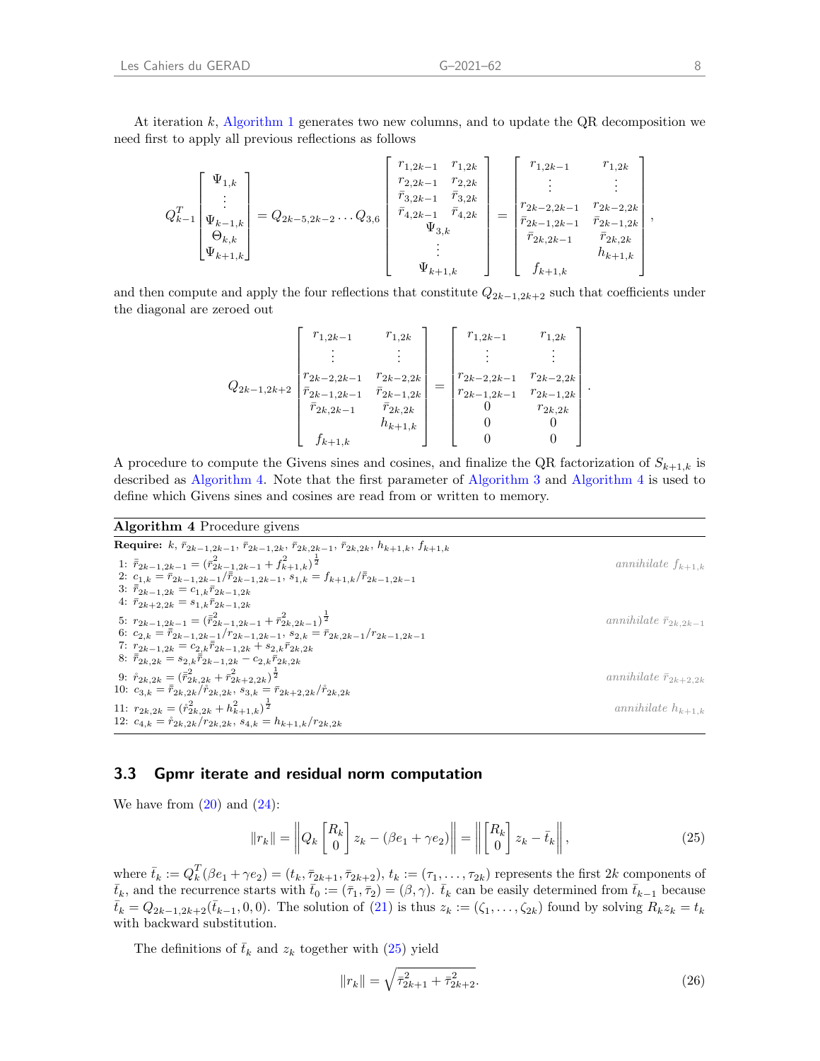$$
Q_{k-1}^T \begin{bmatrix} \Psi_{1,k} \\ \vdots \\ \Psi_{k-1,k} \\ \Theta_{k,k} \\ \Psi_{k+1,k} \end{bmatrix} = Q_{2k-5,2k-2} \dots Q_{3,6} \begin{bmatrix} r_{1,2k-1} & r_{1,2k} \\ r_{2,2k-1} & r_{2,2k} \\ \bar{r}_{3,2k-1} & \bar{r}_{3,2k} \\ \bar{r}_{4,2k-1} & \bar{r}_{4,2k} \\ \vdots \\ \Psi_{3,k} \\ \vdots \\ \Psi_{k+1,k} \end{bmatrix} = \begin{bmatrix} r_{1,2k-1} & r_{1,2k} \\ \vdots & & \vdots \\ r_{2k-2,2k-1} & r_{2k-2,2k} \\ \bar{r}_{2k-1,2k-1} & \bar{r}_{2k-2,2k} \\ \bar{r}_{2k,2k-1} & \bar{r}_{2k,2k} \\ \vdots \\ \bar{r}_{k+1,k} \end{bmatrix},
$$

and then compute and apply the four reflections that constitute  $Q_{2k-1,2k+2}$  such that coefficients under the diagonal are zeroed out

$$
Q_{2k-1,2k+2}\left[\begin{array}{cccc}r_{1,2k-1}&r_{1,2k}\\ \vdots&\vdots\\ r_{2k-2,2k-1}&r_{2k-2,2k}\\ \bar{r}_{2k-1,2k-1}&\bar{r}_{2k-1,2k}\\ \bar{r}_{2k,2k-1}&\bar{r}_{2k,2k}\\ \hline f_{k+1,k}&f_{k+1,k}\end{array}\right]=\left[\begin{array}{cccc}r_{1,2k-1}&r_{1,2k}\\ \vdots&\vdots\\ r_{2k-2,2k-1}&r_{2k-2,2k}\\ r_{2k-1,2k-1}&r_{2k-1,2k}\\ 0&r_{2k,2k}\\ 0&0\end{array}\right].
$$

A procedure to compute the Givens sines and cosines, and finalize the QR factorization of  $S_{k+1,k}$  is described as [Algorithm 4.](#page-10-0) Note that the first parameter of [Algorithm 3](#page-9-2) and [Algorithm 4](#page-10-0) is used to define which Givens sines and cosines are read from or written to memory.

#### <span id="page-10-0"></span>Algorithm 4 Procedure givens

Require: k,  $\bar{r}_{2k-1,2k-1}$ ,  $\bar{r}_{2k-1,2k}$ ,  $\bar{r}_{2k,2k-1}$ ,  $\bar{r}_{2k,2k}$ ,  $h_{k+1,k}$ ,  $f_{k+1,k}$ 1:  $\bar{r}_{2k-1,2k-1} = (\bar{r}_{2k-1,2k-1}^2 + f_{k+1,k}^2)^{\frac{1}{2}}$ annihilate  $f_{k+1,k}$ 2:  $c_{1,k} = \bar{r}_{2k-1,2k-1}/\bar{r}_{2k-1,2k-1}, s_{1,k} = f_{k+1,k}/\bar{r}_{2k-1,2k-1}$ 3:  $\bar{r}_{2k-1,2k} = c_{1,k}\bar{r}_{2k-1,2k}$ 4:  $\bar{r}_{2k+2,2k} = s_{1,k}\bar{r}_{2k-1,2k}$ 5:  $r_{2k-1,2k-1} = (\bar{\bar{r}}_{2k-1,2k-1}^2 + \bar{r}_{2k,2k-1}^2)^{\frac{1}{2}}$ annihilate  $\bar{r}_{2k,2k-1}$ 6:  $c_{2,k} = \overline{\overline{r}}_{2k-1,2k-1}/r_{2k-1,2k-1}, s_{2,k} = \overline{r}_{2k,2k-1}/r_{2k-1,2k-1}$ 7:  $r_{2k-1,2k} = c_{2,k}\bar{r}_{2k-1,2k} + s_{2,k}\bar{r}_{2k,2k}$ 8:  $\bar{\bar{r}}_{2k,2k} = s_{2,k}\bar{\bar{r}}_{2k-1,2k} - c_{2,k}\bar{r}_{2k,2k}$ 9:  $\mathring{r}_{2k,2k} = (\bar{r}_{2k,2k}^2 + \bar{r}_{2k+2,2k}^2)^{\frac{1}{2}}$ annihilate  $\bar{r}_{2k+2,2k}$ 10:  $c_{3,k} = \bar{\bar{r}}_{2k,2k}/\mathring{r}_{2k,2k}, s_{3,k} = \bar{r}_{2k+2,2k}/\mathring{r}_{2k,2k}$ 11:  $r_{2k,2k} = (\r{r}_{2k,2k}^2 + h_{k+1,k}^2)^{\frac{1}{2}}$ annihilate  $h_{k+1,k}$ 12:  $c_{4,k} = \r{r}_{2k,2k}/r_{2k,2k}, s_{4,k} = h_{k+1,k}/r_{2k,2k}$ 

### 3.3 Gpmr iterate and residual norm computation

We have from  $(20)$  and  $(24)$ :

<span id="page-10-1"></span>
$$
||r_k|| = \left||Q_k \begin{bmatrix} R_k \\ 0 \end{bmatrix} z_k - (\beta e_1 + \gamma e_2)\right|| = \left||\begin{bmatrix} R_k \\ 0 \end{bmatrix} z_k - \bar{t}_k\right||,
$$
\n(25)

where  $\bar{t}_k := Q_k^T(\beta e_1 + \gamma e_2) = (t_k, \bar{\tau}_{2k+1}, \bar{\tau}_{2k+2}), t_k := (\tau_1, \ldots, \tau_{2k})$  represents the first  $2k$  components of  $\bar{t}_k$ , and the recurrence starts with  $\bar{t}_0 := (\bar{\tau}_1, \bar{\tau}_2) = (\beta, \gamma)$ .  $\bar{t}_k$  can be easily determined from  $\bar{t}_{k-1}$  because  $\bar{t}_k = Q_{2k-1,2k+2}(\bar{t}_{k-1},0,0)$ . The solution of  $(21)$  is thus  $z_k := (\zeta_1,\ldots,\zeta_{2k})$  found by solving  $R_k z_k = t_k$ with backward substitution.

The definitions of  $\bar{t}_k$  and  $z_k$  together with [\(25\)](#page-10-1) yield

$$
||r_k|| = \sqrt{\bar{\tau}_{2k+1}^2 + \bar{\tau}_{2k+2}^2}.
$$
\n(26)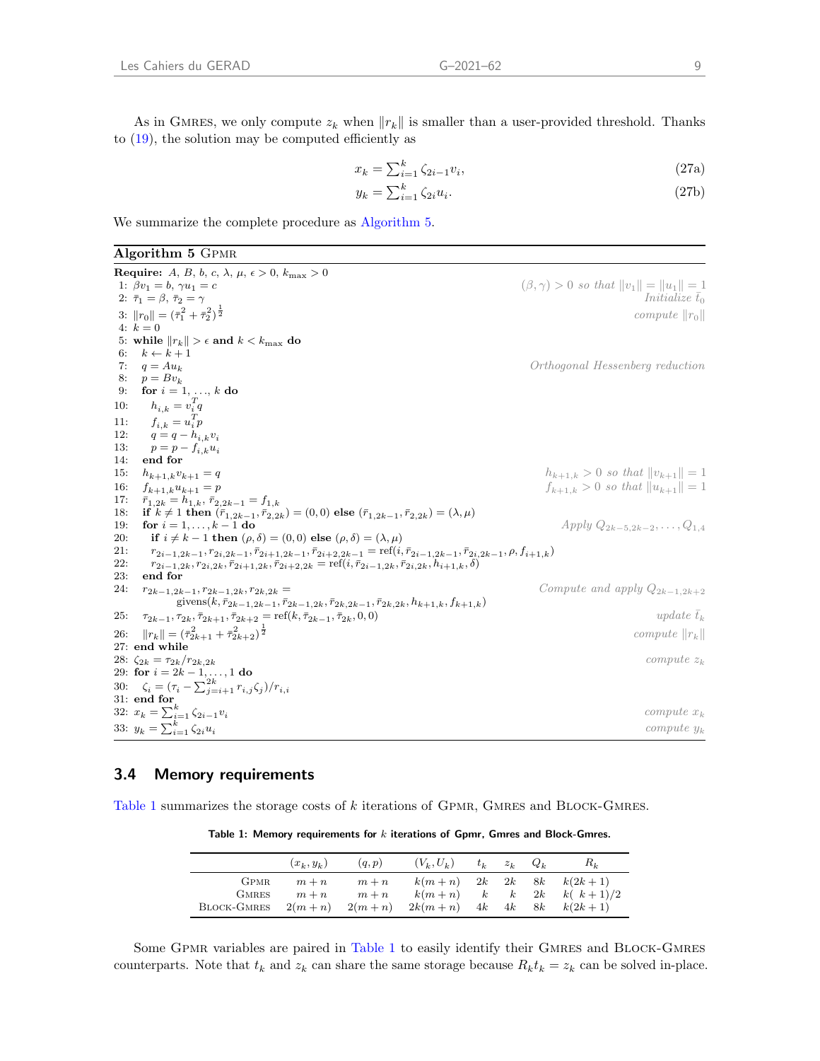$$
x_k = \sum_{i=1}^k \zeta_{2i-1} v_i,\tag{27a}
$$

$$
y_k = \sum_{i=1}^k \zeta_{2i} u_i. \tag{27b}
$$

We summarize the complete procedure as [Algorithm 5.](#page-11-0)

<span id="page-11-0"></span>Algorithm 5 Gpmr

Require: A, B, b, c,  $\lambda$ ,  $\mu$ ,  $\epsilon > 0$ ,  $k_{\text{max}} > 0$ <br>1:  $\beta v_1 = b$ ,  $\gamma u_1 = c$  $(\beta, \gamma) > 0$  so that  $||v_1|| = ||u_1|| = 1$ <br>Initialize  $\bar{t}_0$ 2:  $\bar{\tau}_1 = \beta,\, \bar{\tau}_2 = \gamma$ 3:  $||r_0|| = (\bar{\tau}_1^2 + \bar{\tau}_2^2)^{\frac{1}{2}}$ compute  $||r_0||$ 4:  $k = 0$ 5: while  $||r_k|| > \epsilon$  and  $k < k_{\text{max}}$  do<br>6:  $k \leftarrow k+1$  $k \leftarrow k + 1$ 7:  $q = Au_k$ <br>
8:  $p = Bv_k$ <br>  $p = Bv_k$ 8:  $p = Bv_k$ <br>9: **for**  $i = 1$ for  $i = 1, ..., k$  do 10:  $h_{i,k} = v_i^T q$ 11:  $f_{i,k} = u_i^T p$ 12:  $q = q - h_{i,k}v_i$ <br>
13:  $p = p - f_{i,k}u_i$ 13:  $p = p - f_{i,k} u_i$ <br>14: **end for** end for 15:  $h_{k+1,k}v_{k+1} = q$   $h_{k+1,k} > 0$  so that  $||v_{k+1}|| = 1$ 16:  $f_{k+1,k}u_{k+1} = p$   $f_{k+1,k} > 0$  so that  $||u_{k+1}|| = 1$ 17:  $\bar{r}_{1,2k} = h_{1,k}, \bar{r}_{2,2k-1} = f_{1,k}$ <br>
18: if  $k \neq 1$  then  $(\bar{r}_{1,2k-1}, \bar{r}_{2,2k})$ if  $k \neq 1$  then  $(\bar{r}_{1,2k-1}, \bar{r}_{2,2k}) = (0,0)$  else  $(\bar{r}_{1,2k-1}, \bar{r}_{2,2k}) = (\lambda, \mu)$ 19: **for**  $i = 1, ..., k - 1$  do<br>
20: **if**  $i \neq k - 1$  then  $(\rho, \delta) = (0, 0)$  else  $(\rho, \delta) = (\lambda, \mu)$ if  $i \neq k - 1$  then  $(\rho, \delta) = (0, 0)$  else  $(\rho, \delta) = (\lambda, \mu)$ 21:  $r_{2i-1,2k-1}, r_{2i,2k-1}, \bar{r}_{2i+1,2k-1}, \bar{r}_{2i+2,2k-1} = \text{ref}(i, \bar{r}_{2i-1,2k-1}, \bar{r}_{2i,2k-1}, \rho, f_{i+1,k})$ <br>
22:  $r_{2i-1,2k-1,2k-1}r_{2i,2k-1,2k-1} = \text{ref}(i, \bar{r}_{2i-1,2k-1}, \bar{r}_{2i,2k-1}, \rho, f_{i+1,k})$ 22:  $r_{2i-1,2k}, r_{2i,2k}, \bar{r}_{2i+1,2k}, \bar{r}_{2i+2,2k} = \text{ref}(i, \bar{r}_{2i-1,2k}, \bar{r}_{2i,2k}, h_{i+1,k}, \delta)$ <br>23: end for end for 24:  $r_{2k-1,2k-1}, r_{2k-1,2k}, r_{2k,2k} =$  Compute and apply  $Q_{2k-1,2k+2}$  $\mathrm{givens}(k,\bar{r}_{2k-1,2k-1},\bar{r}_{2k-1,2k},\bar{r}_{2k,2k-1},\bar{r}_{2k,2k},h_{k+1,k},f_{k+1,k})$ 25:  $\tau_{2k-1}, \tau_{2k}, \bar{\tau}_{2k+1}, \bar{\tau}_{2k+2} = \text{ref}(k, \bar{\tau}_{2k-1}, \bar{\tau}_{2k}, 0, 0)$  update  $\bar{t}_k$ 26:  $||r_k|| = (\bar{\tau}_{2k+1}^2 + \bar{\tau}_{2k+2}^2)^{\frac{1}{2}}$ compute  $\|r_k\|$ 27: end while 28:  $\zeta_{2k} = \tau_{2k}/r_{2k,2k}$  compute  $z_k$ 29: for  $i = 2k - 1, ..., 1$  do 30:  $\zeta_i = (\tau_i - \sum_{j=i+1}^{2k} r_{i,j} \zeta_j)/r_{i,i}$ 31: end for 32:  $x_k = \sum_{i=1}^k \zeta_{2i-1} v_i$  compute  $x_k$ 33:  $y_k = \sum_{i=1}^k \zeta_{2i} u_i$  compute y<sub>k</sub>

### 3.4 Memory requirements

<span id="page-11-1"></span>[Table 1](#page-11-1) summarizes the storage costs of k iterations of GPMR, GMRES and BLOCK-GMRES.

| Table 1: Memory requirements for $k$ iterations of Gpmr, Gmres and Block-Gmres. |  |  |  |  |  |  |
|---------------------------------------------------------------------------------|--|--|--|--|--|--|
|---------------------------------------------------------------------------------|--|--|--|--|--|--|

|                             | $(x_k, y_k)$       | (q,p)              | $(V_k, U_k)$         | $t_k$          | $z_k$                  | $Q_k$    | $R_k$                   |
|-----------------------------|--------------------|--------------------|----------------------|----------------|------------------------|----------|-------------------------|
| <b>GPMR</b><br><b>GMRES</b> | $m + n$<br>$m + n$ | $m + n$<br>$m + n$ | $k(m+n)$<br>$k(m+n)$ | 2k<br>$\kappa$ | 2k<br>$\boldsymbol{k}$ | 8k<br>2k | $k(2k+1)$<br>$k(k+1)/2$ |
| BLOCK-GMRES                 | $2(m+n)$           | $2(m+n)$           | $2k(m+n)$            | 4k             | 4k                     | 8k       | $k(2k+1)$               |

Some GPMR variables are paired in [Table 1](#page-11-1) to easily identify their GMRES and BLOCK-GMRES counterparts. Note that  $t_k$  and  $z_k$  can share the same storage because  $R_k t_k = z_k$  can be solved in-place.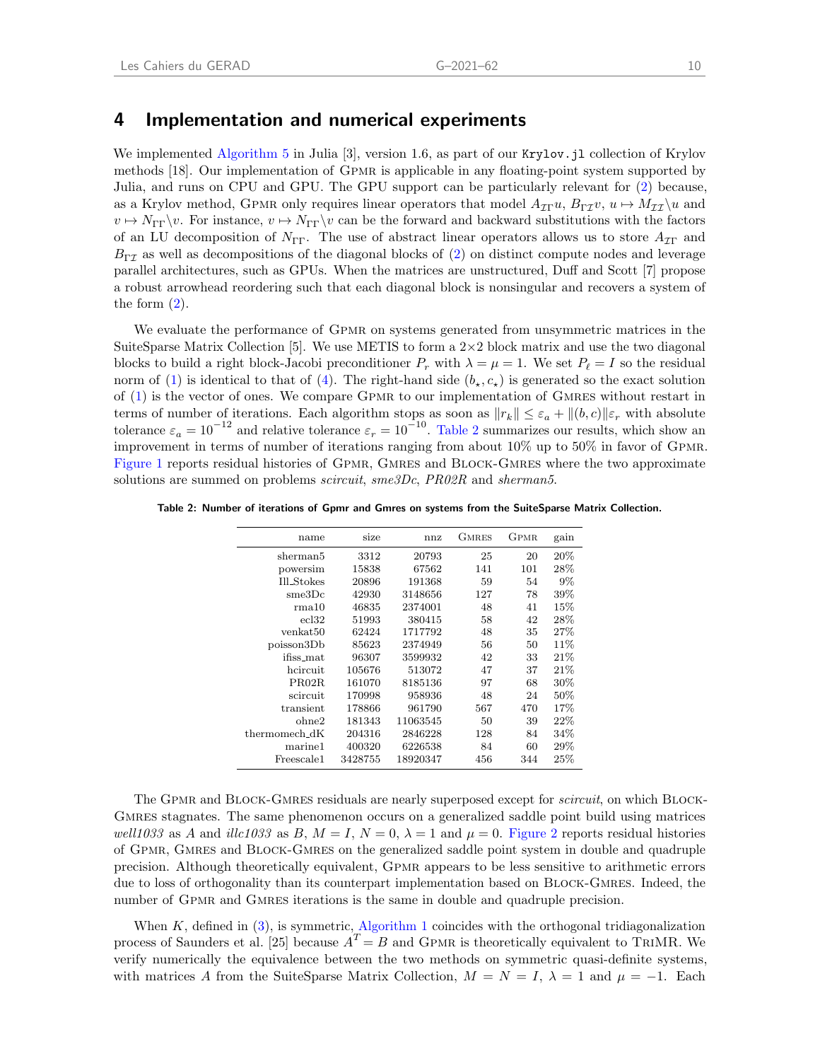### 4 Implementation and numerical experiments

We implemented [Algorithm 5](#page-11-0) in Julia [\[3\]](#page-14-3), version 1.6, as part of our Krylov. il collection of Krylov methods [\[18\]](#page-15-15). Our implementation of Gpmr is applicable in any floating-point system supported by Julia, and runs on CPU and GPU. The GPU support can be particularly relevant for [\(2\)](#page-3-3) because, as a Krylov method, GPMR only requires linear operators that model  $A_{\mathcal{I}\Gamma}u$ ,  $B_{\Gamma\mathcal{I}}v$ ,  $u \mapsto M_{\mathcal{I}\mathcal{I}}\setminus u$  and  $v \mapsto N_{\Gamma\Gamma}\setminus v$ . For instance,  $v \mapsto N_{\Gamma\Gamma}\setminus v$  can be the forward and backward substitutions with the factors of an LU decomposition of  $N_{\Gamma\Gamma}$ . The use of abstract linear operators allows us to store  $A_{\tau\Gamma}$  and  $B_{\Gamma\tau}$  as well as decompositions of the diagonal blocks of [\(2\)](#page-3-3) on distinct compute nodes and leverage parallel architectures, such as GPUs. When the matrices are unstructured, [Duff and Scott](#page-15-16) [\[7\]](#page-15-16) propose a robust arrowhead reordering such that each diagonal block is nonsingular and recovers a system of the form  $(2)$ .

We evaluate the performance of GPMR on systems generated from unsymmetric matrices in the SuiteSparse Matrix Collection [\[5\]](#page-14-4). We use METIS to form a  $2\times 2$  block matrix and use the two diagonal blocks to build a right block-Jacobi preconditioner  $P_r$  with  $\lambda = \mu = 1$ . We set  $P_\ell = I$  so the residual norm of [\(1\)](#page-3-0) is identical to that of [\(4\)](#page-3-2). The right-hand side  $(b_{\star}, c_{\star})$  is generated so the exact solution of [\(1\)](#page-3-0) is the vector of ones. We compare Gpmr to our implementation of Gmres without restart in terms of number of iterations. Each algorithm stops as soon as  $||r_k|| \leq \varepsilon_a + ||(b, c)||\varepsilon_r$  with absolute tolerance  $\varepsilon_a = 10^{-12}$  and relative tolerance  $\varepsilon_r = 10^{-10}$ . [Table 2](#page-12-0) summarizes our results, which show an improvement in terms of number of iterations ranging from about 10% up to 50% in favor of Gpmr. [Figure 1](#page-13-0) reports residual histories of GPMR, GMRES and BLOCK-GMRES where the two approximate solutions are summed on problems *scircuit*, sme3Dc, PR02R and sherman5.

<span id="page-12-0"></span>Table 2: Number of iterations of Gpmr and Gmres on systems from the SuiteSparse Matrix Collection.

| name              | size    | nnz      | GMRES | GPMR | gain   |
|-------------------|---------|----------|-------|------|--------|
| sherman5          | 3312    | 20793    | 25    | 20   | 20%    |
| powersim          | 15838   | 67562    | 141   | 101  | 28\%   |
| Ill_Stokes        | 20896   | 191368   | 59    | 54   | $9\%$  |
| $_{\rm sme3Dc}$   | 42930   | 3148656  | 127   | 78   | $39\%$ |
| rma10             | 46835   | 2374001  | 48    | 41   | 15%    |
| ecl32             | 51993   | 380415   | 58    | 42   | 28\%   |
| venkat50          | 62424   | 1717792  | 48    | 35   | 27%    |
| poisson3Db        | 85623   | 2374949  | 56    | 50   | 11%    |
| ifiss mat         | 96307   | 3599932  | 42    | 33   | 21\%   |
| heireuit          | 105676  | 513072   | 47    | 37   | 21%    |
| PRO2R             | 161070  | 8185136  | 97    | 68   | 30%    |
| scircuit          | 170998  | 958936   | 48    | 24   | 50%    |
| transient         | 178866  | 961790   | 567   | 470  | 17%    |
| ohne2             | 181343  | 11063545 | 50    | 39   | 22%    |
| thermomech_dK     | 204316  | 2846228  | 128   | 84   | $34\%$ |
| marine1           | 400320  | 6226538  | 84    | 60   | 29%    |
| $\rm{Freescale1}$ | 3428755 | 18920347 | 456   | 344  | $25\%$ |

The GPMR and BLOCK-GMRES residuals are nearly superposed except for *scircuit*, on which BLOCK-GMRES stagnates. The same phenomenon occurs on a generalized saddle point build using matrices well1033 as A and illc1033 as B,  $M = I$ ,  $N = 0$ ,  $\lambda = 1$  and  $\mu = 0$ . [Figure 2](#page-13-1) reports residual histories of Gpmr, Gmres and Block-Gmres on the generalized saddle point system in double and quadruple precision. Although theoretically equivalent, Gpmr appears to be less sensitive to arithmetic errors due to loss of orthogonality than its counterpart implementation based on BLOCK-GMRES. Indeed, the number of GPMR and GMRES iterations is the same in double and quadruple precision.

When  $K$ , defined in  $(3)$ , is symmetric, [Algorithm 1](#page-5-0) coincides with the orthogonal tridiagonalization process of [Saunders et al.](#page-15-10) [\[25\]](#page-15-10) because  $A<sup>T</sup> = B$  and GPMR is theoretically equivalent to TRIMR. We verify numerically the equivalence between the two methods on symmetric quasi-definite systems, with matrices A from the SuiteSparse Matrix Collection,  $M = N = I$ ,  $\lambda = 1$  and  $\mu = -1$ . Each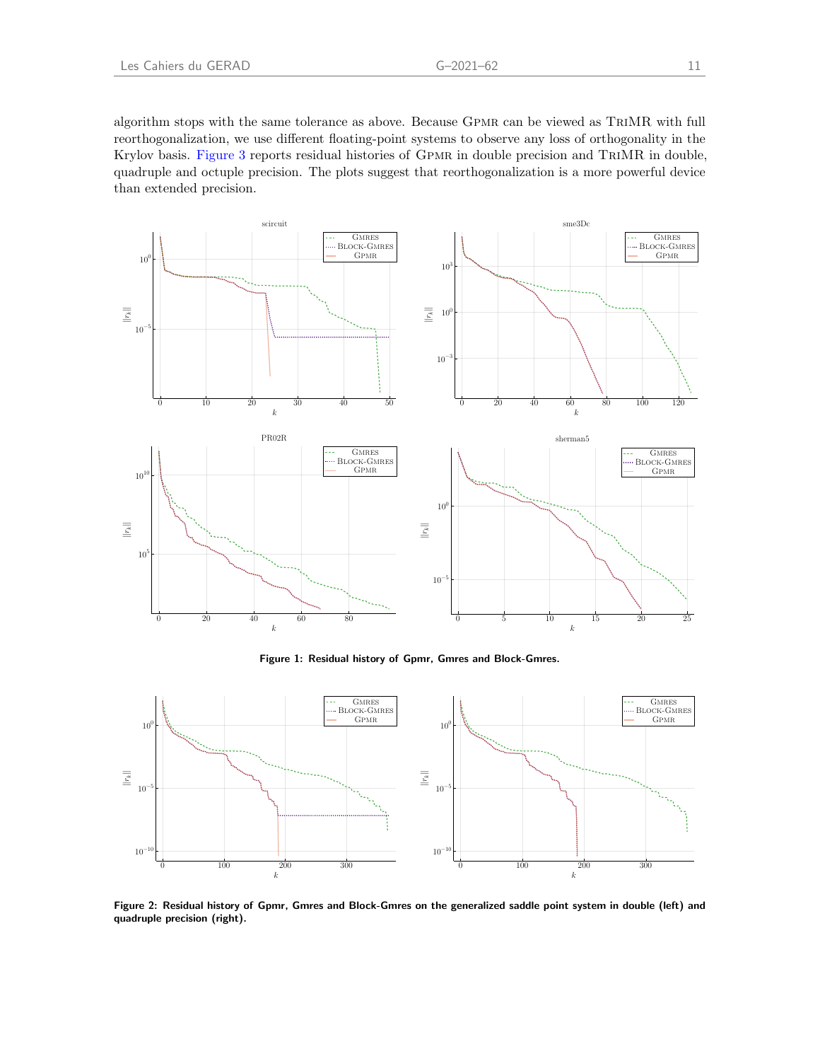algorithm stops with the same tolerance as above. Because Gpmr can be viewed as TriMR with full reorthogonalization, we use different floating-point systems to observe any loss of orthogonality in the Krylov basis. [Figure 3](#page-14-5) reports residual histories of Gpmr in double precision and TriMR in double, quadruple and octuple precision. The plots suggest that reorthogonalization is a more powerful device than extended precision.

<span id="page-13-0"></span>

Figure 1: Residual history of Gpmr, Gmres and Block-Gmres.

<span id="page-13-1"></span>

Figure 2: Residual history of Gpmr, Gmres and Block-Gmres on the generalized saddle point system in double (left) and quadruple precision (right).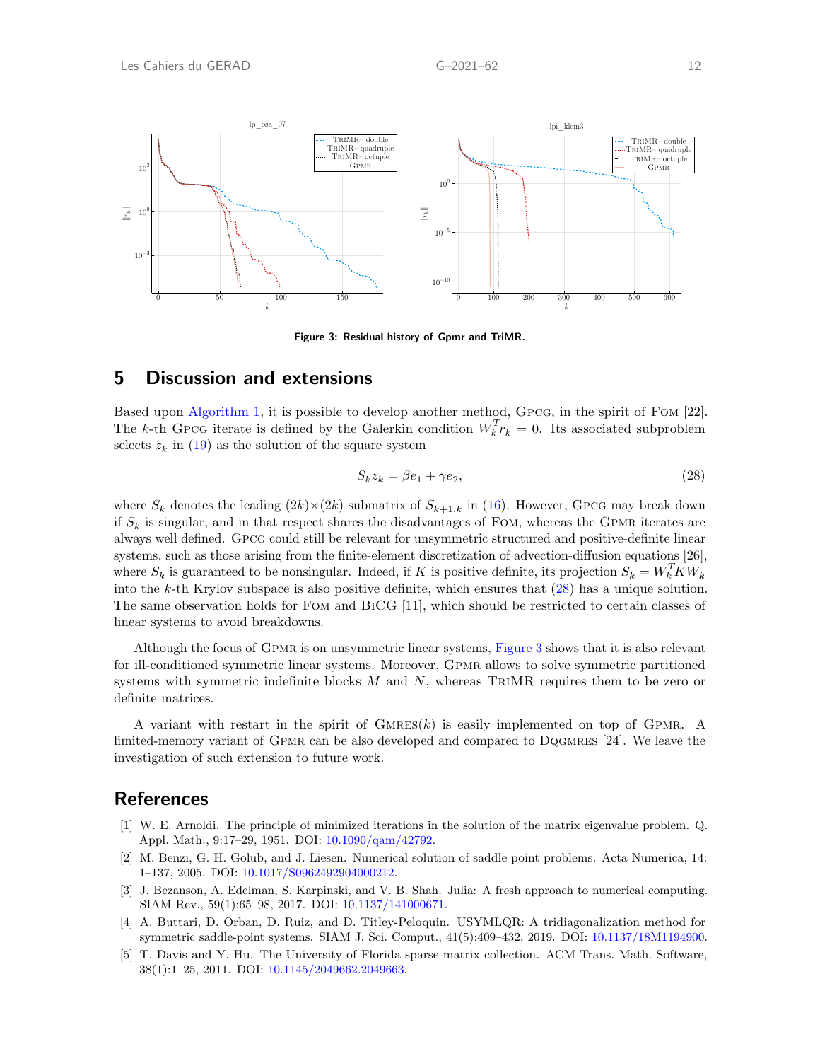<span id="page-14-5"></span>

Figure 3: Residual history of Gpmr and TriMR.

## 5 Discussion and extensions

Based upon [Algorithm 1,](#page-5-0) it is possible to develop another method, Gpcg, in the spirit of Fom [\[22\]](#page-15-17). The k-th GPCG iterate is defined by the Galerkin condition  $W_k^T r_k = 0$ . Its associated subproblem selects  $z_k$  in [\(19\)](#page-8-3) as the solution of the square system

<span id="page-14-6"></span>
$$
S_k z_k = \beta e_1 + \gamma e_2,\tag{28}
$$

where  $S_k$  denotes the leading  $(2k)\times(2k)$  submatrix of  $S_{k+1,k}$  in [\(16\)](#page-7-3). However, GPCG may break down if  $S_k$  is singular, and in that respect shares the disadvantages of FOM, whereas the GPMR iterates are always well defined. Gpcg could still be relevant for unsymmetric structured and positive-definite linear systems, such as those arising from the finite-element discretization of advection-diffusion equations [\[26\]](#page-15-18), where  $S_k$  is guaranteed to be nonsingular. Indeed, if K is positive definite, its projection  $S_k = W_k^T K W_k$ into the k-th Krylov subspace is also positive definite, which ensures that [\(28\)](#page-14-6) has a unique solution. The same observation holds for Fom and BiCG [\[11\]](#page-15-19), which should be restricted to certain classes of linear systems to avoid breakdowns.

Although the focus of Gpmr is on unsymmetric linear systems, [Figure 3](#page-14-5) shows that it is also relevant for ill-conditioned symmetric linear systems. Moreover, Gpmr allows to solve symmetric partitioned systems with symmetric indefinite blocks  $M$  and  $N$ , whereas TRIMR requires them to be zero or definite matrices.

A variant with restart in the spirit of  $GMRES(k)$  is easily implemented on top of GPMR. A limited-memory variant of Gpmr can be also developed and compared to Dqgmres [\[24\]](#page-15-20). We leave the investigation of such extension to future work.

## **References**

- <span id="page-14-2"></span>[1] W. E. Arnoldi. The principle of minimized iterations in the solution of the matrix eigenvalue problem. Q. Appl. Math., 9:17–29, 1951. DOI: [10.1090/qam/42792.](http://dx.doi.org/10.1090/qam/42792)
- <span id="page-14-0"></span>[2] M. Benzi, G. H. Golub, and J. Liesen. Numerical solution of saddle point problems. Acta Numerica, 14: 1–137, 2005. DOI: [10.1017/S0962492904000212.](http://dx.doi.org/10.1017/S0962492904000212)
- <span id="page-14-3"></span>[3] J. Bezanson, A. Edelman, S. Karpinski, and V. B. Shah. Julia: A fresh approach to numerical computing. SIAM Rev., 59(1):65–98, 2017. DOI: [10.1137/141000671.](http://dx.doi.org/10.1137/141000671)
- <span id="page-14-1"></span>[4] A. Buttari, D. Orban, D. Ruiz, and D. Titley-Peloquin. USYMLQR: A tridiagonalization method for symmetric saddle-point systems. SIAM J. Sci. Comput., 41(5):409–432, 2019. DOI: [10.1137/18M1194900.](http://dx.doi.org/10.1137/18M1194900)
- <span id="page-14-4"></span>[5] T. Davis and Y. Hu. The University of Florida sparse matrix collection. ACM Trans. Math. Software, 38(1):1–25, 2011. DOI: [10.1145/2049662.2049663.](http://dx.doi.org/10.1145/2049662.2049663)